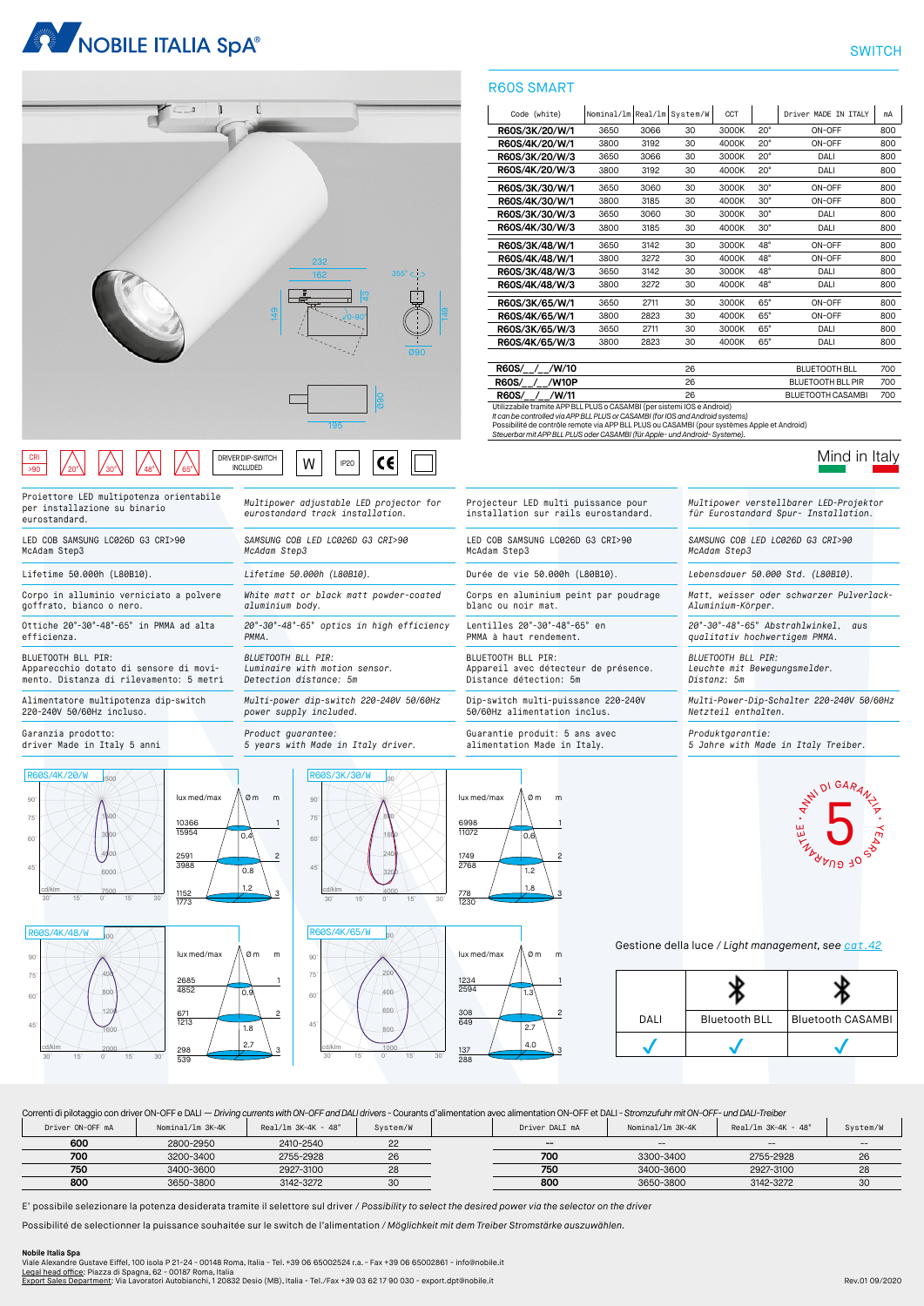



### IP20 W DRIVER DIP-SWITCH INCLUDED CRI >90 20° 30° 48° 65°

Proiettore LED multipotenza orientabile per installazione su binario eurostandard.

LED COB SAMSUNG LC026D G3 CRI>90 McAdam Step3

Corpo in alluminio verniciato a polvere goffrato, bianco o nero.

Ottiche 20°-30°-48°-65° in PMMA ad alta efficienza.

BLUETOOTH BLL PIR: Apparecchio dotato di sensore di movi-mento. Distanza di rilevamento: 5 metri

Alimentatore multipotenza dip-switch 220-240V 50/60Hz incluso.

Garanzia prodotto: driver Made in Italy 5 anni











*Multipower adjustable LED projector for eurostandard track installation.*

*White matt or black matt powder-coated* 

*20°-30°-48°-65° optics in high efficiency* 

*Multi-power dip-switch 220-240V 50/60Hz* 

R60S/4K/65/W

*SAMSUNG COB LED LC026D G3 CRI>90* 

*McAdam Step3*

*aluminium body.*

*BLUETOOTH BLL PIR:*

*power supply included.*

*Luminaire with motion sensor. Detection distance: 5m*

*PMMA.*



 $\mathcal{L}$ 





2

# lux med/max  $\sqrt{2}$  om m 1.8 778 1230 3

3 2



Mind in Italy

*SAMSUNG COB LED LC026D G3 CRI>90 McAdam Step3*

Lifetime 50.000h (L80B10). *Lifetime 50.000h (L80B10).* Durée de vie 50.000h (L80B10). *Lebensdauer 50.000 Std. (L80B10).*

*Matt, weisser oder schwarzer Pulverlack-Aluminium-Körper.*

*20°-30°-48°-65° Abstrahlwinkel, aus qualitativ hochwertigem PMMA.*

*BLUETOOTH BLL PIR: Leuchte mit Bewegungsmelder. Distanz: 5m*

*Multi-Power-Dip-Schalter 220-240V 50/60Hz* 

*Netzteil enthalten.*

*Produktgarantie: 5 Jahre with Made in Italy Treiber.*



Gestione della luce / *Light management, see cat.42*



Correnti di pilotaggio con driver ON-OFF e DALI — *Driving currents with ON-OFF and DALI drivers -* Courants d'alimentation avec alimentation ON-OFF et DALI *- Stromzufuhr mit ON-OFF- und DALI-Treiber*

| Driver ON-OFF mA | Nominal/1m 3K-4K | $Real/Im 3K-4K - 48^{\circ}$ | System/W | Driver DALI mA           | Nominal/1m 3K-4K | $Real/Im 3K-4K - 48^\circ$            | System/W                              |
|------------------|------------------|------------------------------|----------|--------------------------|------------------|---------------------------------------|---------------------------------------|
| 600              | 2800-2950        | 2410-2540                    | oc<br>ے  | $\hspace{0.05cm} \cdots$ | $- -$            | $\hspace{0.05cm}$ – $\hspace{0.05cm}$ | $\hspace{0.05cm}$ – $\hspace{0.05cm}$ |
| 700              | 3200-3400        | 2755-2928                    |          | 700                      | 3300-3400        | 2755-2928                             | 26                                    |
| 750              | 3400-3600        | 2927-3100                    | 20       | 750                      | 3400-3600        | 2927-3100                             | 28                                    |
| 800              | 3650-3800        | 3142-3272                    |          | 800                      | 3650-3800        | 3142-3272                             | 30                                    |

E' possibile selezionare la potenza desiderata tramite il selettore sul driver / *Possibility to select the desired power via the selector on the driver*

Possibilité de selectionner la puissance souhaitée sur le switch de l'alimentation */ Möglichkeit mit dem Treiber Stromstärke auszuwählen.*

**Nobile Italia Spa**<br>Viale Alexandre Gustave Eiffel, 100 isola P 21-24 - 00148 Roma, Italia - Tel. +39 06 65002524 r.a. - Fax +39 06 65002861 - info@nobile.it<br><u>Legal head office:</u> Piazza di Spagna, 62 - 00187 Roma, Italia<br><u></u>

3

2

# R60S SMART

| Code (white)   | Nominal/1m Real/1m System/W |      |    | CCT   |              | Driver MADE TN TTAIY | mA  |
|----------------|-----------------------------|------|----|-------|--------------|----------------------|-----|
| R60S/3K/20/W/1 | 3650                        | 3066 | 30 | 3000K | $20^{\circ}$ | ON-OFF               | 800 |
| R60S/4K/20/W/1 | 3800                        | 3192 | 30 | 4000K | $20^{\circ}$ | ON-OFF               | 800 |
| R60S/3K/20/W/3 | 3650                        | 3066 | 30 | 3000K | $20^{\circ}$ | DALI                 | 800 |
| R60S/4K/20/W/3 | 3800                        | 3192 | 30 | 4000K | $20^{\circ}$ | DALI                 | 800 |
| R60S/3K/30/W/1 | 3650                        | 3060 | 30 | 3000K | $30^\circ$   | ON-OFF               | 800 |
| R60S/4K/30/W/1 | 3800                        | 3185 | 30 | 4000K | $30^\circ$   | ON-OFF               | 800 |
| R60S/3K/30/W/3 | 3650                        | 3060 | 30 | 3000K | $30^\circ$   | DALI                 | 800 |
| R60S/4K/30/W/3 | 3800                        | 3185 | 30 | 4000K | $30^\circ$   | DALI                 | 800 |
| R60S/3K/48/W/1 | 3650                        | 3142 | 30 | 3000K | $48^\circ$   | ON-OFF               | 800 |
| R60S/4K/48/W/1 | 3800                        | 3272 | 30 | 4000K | $48^\circ$   | ON-OFF               | 800 |
| R60S/3K/48/W/3 | 3650                        | 3142 | 30 | 3000K | $48^\circ$   | DALI                 | 800 |
| R60S/4K/48/W/3 | 3800                        | 3272 | 30 | 4000K | $48^\circ$   | DALI                 | 800 |
| R60S/3K/65/W/1 | 3650                        | 2711 | 30 | 3000K | $65^\circ$   | ON-OFF               | 800 |
| R60S/4K/65/W/1 | 3800                        | 2823 | 30 | 4000K | $65^\circ$   | ON-OFF               | 800 |
| R60S/3K/65/W/3 | 3650                        | 2711 | 30 | 3000K | $65^\circ$   | DALI                 | 800 |
| R60S/4K/65/W/3 | 3800                        | 2823 | 30 | 4000K | $65^\circ$   | DALI                 | 800 |

**R60S/\_\_/\_\_/W/10** 26 BLUETOOTH BLL 700<br> **R60S/\_\_/\_\_/W10P** 26 BLUETOOTH BLL PIR 700 **REQUETOOTH BLL PIR 700 BLUETOOTH BLL PIR 700 BLUETOOTH BLL PIR R60S/\_\_/\_\_/W/11** 26 BLUETOOTH CASAMBI 700

Utilizzabile tramite APP BLL PLUS o CASAMBI (per sistemi IOS e Android) *It can be controlled via APP BLL PLUS or CASAMBI (for IOS and Android systems)*

Possibilité de contrôle remote via APP BLL PLUS ou CASAMBI (pour systèmes Apple et Android) *Steuerbar mit APP BLL PLUS oder CASAMBI (für Apple- und Android- Systeme).*

Projecteur LED multi puissance pour installation sur rails eurostandard.

Corps en aluminium peint par poudrage

Appareil avec détecteur de présence. Distance détection: 5m

Dip-switch multi-puissance 220-240V 50/60Hz alimentation inclus.

Guarantie produit: 5 ans avec alimentation Made in Italy.

LED COB SAMSUNG LC026D G3 CRI>90

McAdam Step3

blanc ou noir mat.

BLUETOOTH BLL PIR:

Lentilles 20°-30°-48°-65° en PMMA à haut rendement.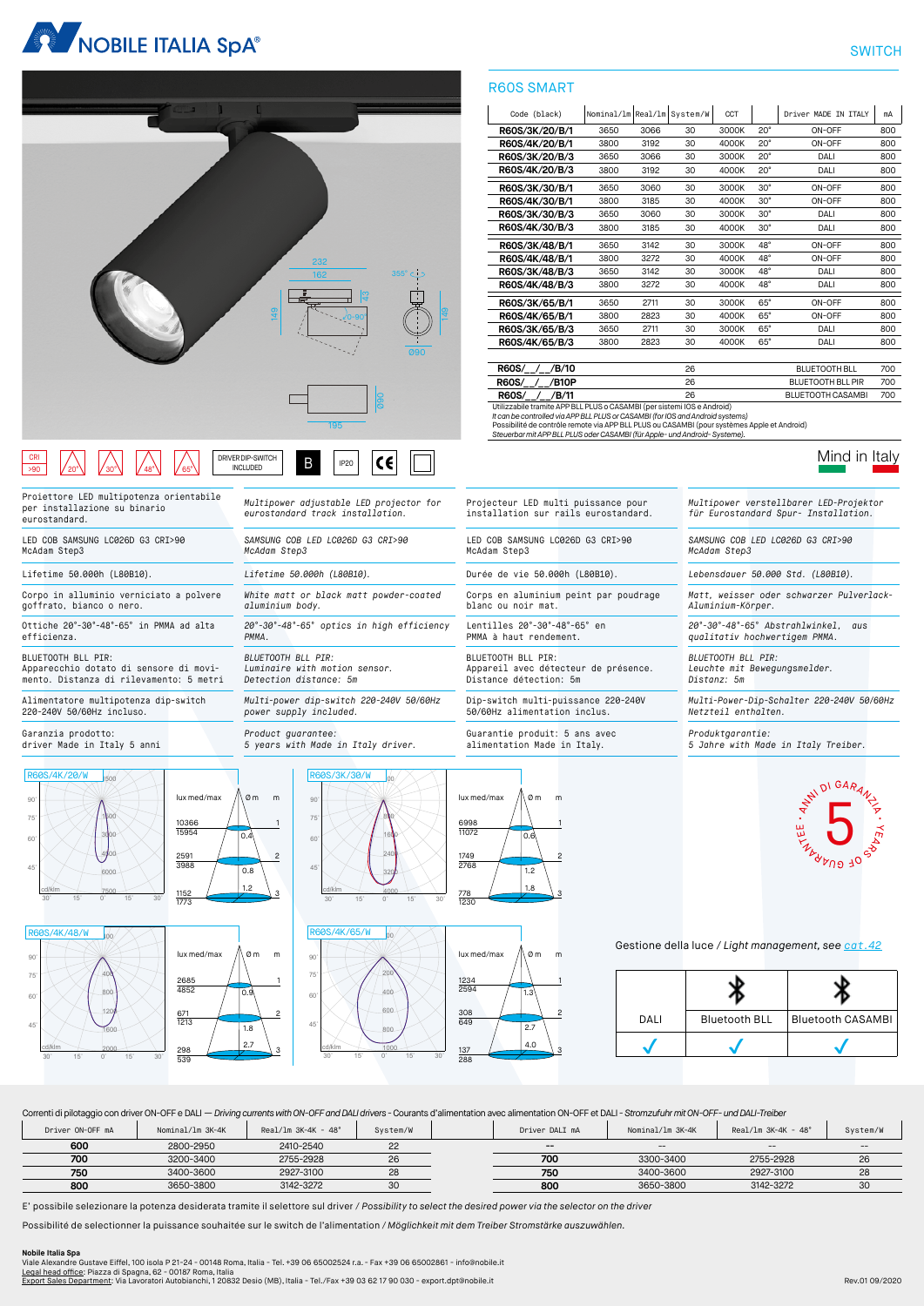



### $\mathbf{B}$  | IP20 DRIVER DIP-SWITCH INCLUDED CRI >90 | |/20°\| |/30°\| |/48°\| |/65°

Proiettore LED multipotenza orientabile per installazione su binario eurostandard.

LED COB SAMSUNG LC026D G3 CRI>90 McAdam Step3

Corpo in alluminio verniciato a polvere goffrato, bianco o nero.

Ottiche 20°-30°-48°-65° in PMMA ad alta efficienza.

BLUETOOTH BLL PIR: Apparecchio dotato di sensore di movi-mento. Distanza di rilevamento: 5 metri

Alimentatore multipotenza dip-switch 220-240V 50/60Hz incluso.

Garanzia prodotto: driver Made in Italy 5 anni







0.9

2685 4852

671 1213

298 539

1.8 2.7

3

2



*Multipower adjustable LED projector for eurostandard track installation.*

*White matt or black matt powder-coated* 

*20°-30°-48°-65° optics in high efficiency* 

*Multi-power dip-switch 220-240V 50/60Hz* 

*Product guarantee: 5 years with Made in Italy driver.*

*SAMSUNG COB LED LC026D G3 CRI>90* 

*McAdam Step3*

*aluminium body.*

*BLUETOOTH BLL PIR:*

*power supply included.*

*Luminaire with motion sensor. Detection distance: 5m*

*PMMA.*



0.6  $\frac{1}{1.2}$ lux med/max  $\land$  0 m m 6998 11072 1749 2768



1.8 3 2

LED COB SAMSUNG LC026D G3 CRI>90

Corps en aluminium peint par poudrage

Appareil avec détecteur de présence. Distance détection: 5m

Dip-switch multi-puissance 220-240V 50/60Hz alimentation inclus.

Guarantie produit: 5 ans avec alimentation Made in Italy.

McAdam Step3

blanc ou noir mat.

BLUETOOTH BLL PIR:

Lentilles 20°-30°-48°-65° en PMMA à haut rendement.



2

Projecteur LED multi puissance pour installation sur rails eurostandard. *Multipower verstellbarer LED-Projektor für Eurostandard Spur- Installation.*

> *SAMSUNG COB LED LC026D G3 CRI>90 McAdam Step3*

Mind in Italy

Lifetime 50.000h (L80B10). *Lifetime 50.000h (L80B10).* Durée de vie 50.000h (L80B10). *Lebensdauer 50.000 Std. (L80B10).*

*Matt, weisser oder schwarzer Pulverlack-Aluminium-Körper.*

*20°-30°-48°-65° Abstrahlwinkel, aus qualitativ hochwertigem PMMA.*

*BLUETOOTH BLL PIR: Leuchte mit Bewegungsmelder. Distanz: 5m*

*Multi-Power-Dip-Schalter 220-240V 50/60Hz Netzteil enthalten.*

*Produktgarantie: 5 Jahre with Made in Italy Treiber.*



Gestione della luce / *Light management, see cat.42*



Correnti di pilotaggio con driver ON-OFF e DALI — *Driving currents with ON-OFF and DALI drivers -* Courants d'alimentation avec alimentation ON-OFF et DALI *- Stromzufuhr mit ON-OFF- und DALI-Treiber*

| Driver ON-OFF mA | Nominal/lm 3K-4K | $Real/Im 3K-4K - 48^\circ$ | System/W | Driver DALI mA | Nominal/lm 3K-4K                                    | Real/lm $3K-4K - 48^\circ$ | System/W |
|------------------|------------------|----------------------------|----------|----------------|-----------------------------------------------------|----------------------------|----------|
| 600              | 2800-2950        | 2410-2540                  |          | $- -$          | $\hspace{0.05cm} -\hspace{0.05cm} -\hspace{0.05cm}$ | $- -$                      | $- -$    |
| 700              | 3200-3400        | 2755-2928                  | 26       | 700            | 3300-3400                                           | 2755-2928                  | 26       |
| 750              | 3400-3600        | 2927-3100                  | 28       | 750            | 3400-3600                                           | 2927-3100                  | 28       |
| 800              | 3650-3800        | 3142-3272                  | 30       | 800            | 3650-3800                                           | 3142-3272                  | 30       |
|                  |                  |                            |          |                |                                                     |                            |          |

E' possibile selezionare la potenza desiderata tramite il selettore sul driver / *Possibility to select the desired power via the selector on the driver*

Possibilité de selectionner la puissance souhaitée sur le switch de l'alimentation */ Möglichkeit mit dem Treiber Stromstärke auszuwählen.*

**Nobile Italia Spa**<br>Viale Alexandre Gustave Eiffel, 100 isola P 21-24 - 00148 Roma, Italia - Tel. +39 06 65002524 r.a. - Fax +39 06 65002861 - info@nobile.it<br><u>Legal head office:</u> Piazza di Spagna, 62 - 00187 Roma, Italia<br><u></u>

### R60S SMART

| Code (black)   | Nominal/1m Real/1m System/W |      |    | CCT   |              | Driver MADE TN TTALY | mA  |
|----------------|-----------------------------|------|----|-------|--------------|----------------------|-----|
| R60S/3K/20/B/1 | 3650                        | 3066 | 30 | 3000K | $20^{\circ}$ | ON-OFF               | 800 |
| R60S/4K/20/B/1 | 3800                        | 3192 | 30 | 4000K | $20^{\circ}$ | ON-OFF               | 800 |
| R60S/3K/20/B/3 | 3650                        | 3066 | 30 | 3000K | $20^{\circ}$ | DALI                 | 800 |
| R60S/4K/20/B/3 | 3800                        | 3192 | 30 | 4000K | $20^{\circ}$ | DALI                 | 800 |
| R60S/3K/30/B/1 | 3650                        | 3060 | 30 | 3000K | $30^\circ$   | ON-OFF               | 800 |
| R60S/4K/30/B/1 | 3800                        | 3185 | 30 | 4000K | $30^\circ$   | ON-OFF               | 800 |
| R60S/3K/30/B/3 | 3650                        | 3060 | 30 | 3000K | $30^\circ$   | DALI                 | 800 |
| R60S/4K/30/B/3 | 3800                        | 3185 | 30 | 4000K | $30^\circ$   | DALI                 | 800 |
| R60S/3K/48/B/1 | 3650                        | 3142 | 30 | 3000K | $48^\circ$   | ON-OFF               | 800 |
| R60S/4K/48/B/1 | 3800                        | 3272 | 30 | 4000K | $48^\circ$   | ON-OFF               | 800 |
| R60S/3K/48/B/3 | 3650                        | 3142 | 30 | 3000K | $48^\circ$   | DALI                 | 800 |
| R60S/4K/48/B/3 | 3800                        | 3272 | 30 | 4000K | $48^\circ$   | DALI                 | 800 |
| R60S/3K/65/B/1 | 3650                        | 2711 | 30 | 3000K | $65^\circ$   | ON-OFF               | 800 |
| R60S/4K/65/B/1 | 3800                        | 2823 | 30 | 4000K | $65^\circ$   | ON-OFF               | 800 |
| R60S/3K/65/B/3 | 3650                        | 2711 | 30 | 3000K | $65^\circ$   | DALI                 | 800 |
| R60S/4K/65/B/3 | 3800                        | 2823 | 30 | 4000K | $65^\circ$   | DALI                 | 800 |
|                |                             |      |    |       |              |                      |     |

**R60S/\_\_/\_\_/B/10** 26 BLUETOOTH BLL 700<br> **R60S/\_\_/\_\_/B10P** 26 BLUETOOTH BLL PIR 700 **REQUETOOTH BLL PIRITION 26** BLUETOOTH BLL PIR **R60S/\_\_/\_\_/B/11** 26 BLUETOOTH CASAMBI 700 Utilizzabile tramite APP BLL PLUS o CASAMBI (per sistemi IOS e Android)

*It can be controlled via APP BLL PLUS or CASAMBI (for IOS and Android systems)*

Possibilité de contrôle remote via APP BLL PLUS ou CASAMBI (pour systèmes Apple et Android) *Steuerbar mit APP BLL PLUS oder CASAMBI (für Apple- und Android- Systeme).*